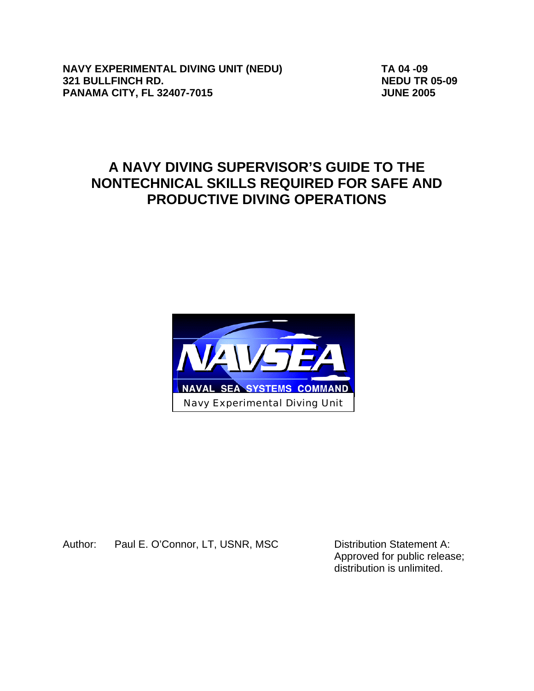**NAVY EXPERIMENTAL DIVING UNIT (NEDU) TA 04 -09 321 BULLFINCH RD. NEDU TR 05-09 PANAMA CITY, FL 32407-7015 JUNE 2005** 

# **A NAVY DIVING SUPERVISOR'S GUIDE TO THE NONTECHNICAL SKILLS REQUIRED FOR SAFE AND PRODUCTIVE DIVING OPERATIONS**



Author: Paul E. O'Connor, LT, USNR, MSC Distribution Statement A:

Approved for public release; distribution is unlimited.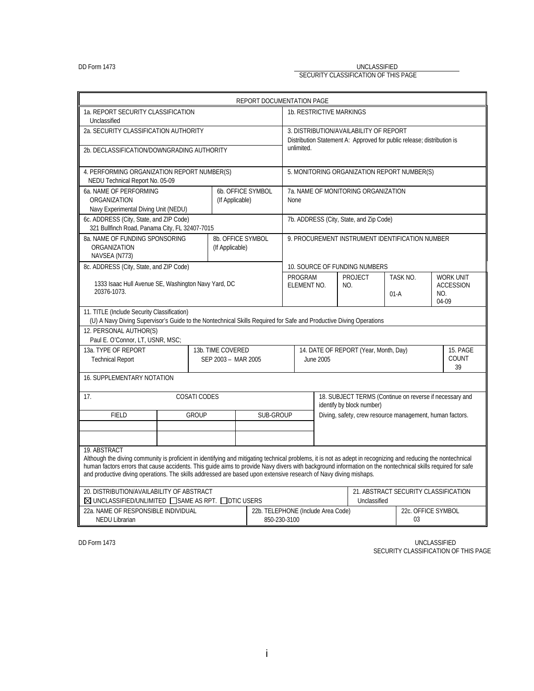#### DD Form 1473 UNCLASSIFIED SECURITY CLASSIFICATION OF THIS PAGE

| REPORT DOCUMENTATION PAGE                                                                                                                                                                                                                                                                                                                                                                                                                                       |                                          |                                      |                                                                                                                  |                                                                                      |                                                 |                                      |     |                           |
|-----------------------------------------------------------------------------------------------------------------------------------------------------------------------------------------------------------------------------------------------------------------------------------------------------------------------------------------------------------------------------------------------------------------------------------------------------------------|------------------------------------------|--------------------------------------|------------------------------------------------------------------------------------------------------------------|--------------------------------------------------------------------------------------|-------------------------------------------------|--------------------------------------|-----|---------------------------|
| 1a. REPORT SECURITY CLASSIFICATION<br>Unclassified                                                                                                                                                                                                                                                                                                                                                                                                              |                                          | <b>1b. RESTRICTIVE MARKINGS</b>      |                                                                                                                  |                                                                                      |                                                 |                                      |     |                           |
| 2a. SECURITY CLASSIFICATION AUTHORITY                                                                                                                                                                                                                                                                                                                                                                                                                           |                                          |                                      | 3. DISTRIBUTION/AVAILABILITY OF REPORT<br>Distribution Statement A: Approved for public release; distribution is |                                                                                      |                                                 |                                      |     |                           |
| 2b. DECLASSIFICATION/DOWNGRADING AUTHORITY                                                                                                                                                                                                                                                                                                                                                                                                                      |                                          |                                      | unlimited.                                                                                                       |                                                                                      |                                                 |                                      |     |                           |
| 4. PERFORMING ORGANIZATION REPORT NUMBER(S)<br>NEDU Technical Report No. 05-09                                                                                                                                                                                                                                                                                                                                                                                  |                                          |                                      |                                                                                                                  |                                                                                      | 5. MONITORING ORGANIZATION REPORT NUMBER(S)     |                                      |     |                           |
| 6a. NAME OF PERFORMING<br>ORGANIZATION<br>Navy Experimental Diving Unit (NEDU)                                                                                                                                                                                                                                                                                                                                                                                  |                                          | 6b. OFFICE SYMBOL<br>(If Applicable) | <b>None</b>                                                                                                      |                                                                                      | 7a. NAME OF MONITORING ORGANIZATION             |                                      |     |                           |
| 6c. ADDRESS (City, State, and ZIP Code)<br>321 Bullfinch Road, Panama City, FL 32407-7015                                                                                                                                                                                                                                                                                                                                                                       |                                          |                                      |                                                                                                                  |                                                                                      | 7b. ADDRESS (City, State, and Zip Code)         |                                      |     |                           |
| 8a. NAME OF FUNDING SPONSORING<br>ORGANIZATION<br>NAVSEA (N773)                                                                                                                                                                                                                                                                                                                                                                                                 | (If Applicable)                          | 8b. OFFICE SYMBOL                    |                                                                                                                  |                                                                                      | 9. PROCUREMENT INSTRUMENT IDENTIFICATION NUMBER |                                      |     |                           |
| 8c. ADDRESS (City, State, and ZIP Code)                                                                                                                                                                                                                                                                                                                                                                                                                         |                                          |                                      | PROGRAM                                                                                                          |                                                                                      | 10. SOURCE OF FUNDING NUMBERS<br>PROJECT        | TASK NO.                             |     | <b>WORK UNIT</b>          |
| 1333 Isaac Hull Avenue SE, Washington Navy Yard, DC<br>20376-1073.                                                                                                                                                                                                                                                                                                                                                                                              |                                          |                                      | ELEMENT NO.                                                                                                      |                                                                                      | NO.                                             | $01-A$                               | NO. | <b>ACCESSION</b><br>04-09 |
| 11. TITLE (Include Security Classification)<br>(U) A Navy Diving Supervisor's Guide to the Nontechnical Skills Required for Safe and Productive Diving Operations<br>12. PERSONAL AUTHOR(S)                                                                                                                                                                                                                                                                     |                                          |                                      |                                                                                                                  |                                                                                      |                                                 |                                      |     |                           |
| Paul E. O'Connor, LT, USNR, MSC;                                                                                                                                                                                                                                                                                                                                                                                                                                |                                          |                                      |                                                                                                                  |                                                                                      |                                                 |                                      |     |                           |
| 13a. TYPE OF REPORT<br><b>Technical Report</b>                                                                                                                                                                                                                                                                                                                                                                                                                  | 13b. TIME COVERED<br>SEP 2003 - MAR 2005 |                                      |                                                                                                                  | 14. DATE OF REPORT (Year, Month, Day)<br>15. PAGE<br>COUNT<br><b>June 2005</b><br>39 |                                                 |                                      |     |                           |
| <b>16. SUPPLEMENTARY NOTATION</b>                                                                                                                                                                                                                                                                                                                                                                                                                               |                                          |                                      |                                                                                                                  |                                                                                      |                                                 |                                      |     |                           |
| COSATI CODES<br>18. SUBJECT TERMS (Continue on reverse if necessary and<br>17.<br>identify by block number)                                                                                                                                                                                                                                                                                                                                                     |                                          |                                      |                                                                                                                  |                                                                                      |                                                 |                                      |     |                           |
| <b>FIELD</b>                                                                                                                                                                                                                                                                                                                                                                                                                                                    | <b>GROUP</b>                             | SUB-GROUP                            | Diving, safety, crew resource management, human factors.                                                         |                                                                                      |                                                 |                                      |     |                           |
|                                                                                                                                                                                                                                                                                                                                                                                                                                                                 |                                          |                                      |                                                                                                                  |                                                                                      |                                                 |                                      |     |                           |
| 19. ABSTRACT<br>Although the diving community is proficient in identifying and mitigating technical problems, it is not as adept in recognizing and reducing the nontechnical<br>human factors errors that cause accidents. This guide aims to provide Navy divers with background information on the nontechnical skills required for safe<br>and productive diving operations. The skills addressed are based upon extensive research of Navy diving mishaps. |                                          |                                      |                                                                                                                  |                                                                                      |                                                 |                                      |     |                           |
| 20. DISTRIBUTION/AVAILABILITY OF ABSTRACT<br>$\boxtimes$ UNCLASSIFIED/UNLIMITED $\Box$ SAME AS RPT. $\Box$ DTIC USERS                                                                                                                                                                                                                                                                                                                                           |                                          |                                      |                                                                                                                  | 21. ABSTRACT SECURITY CLASSIFICATION<br>Unclassified                                 |                                                 |                                      |     |                           |
| 22a. NAME OF RESPONSIBLE INDIVIDUAL<br><b>NEDU Librarian</b>                                                                                                                                                                                                                                                                                                                                                                                                    |                                          |                                      | 22b. TELEPHONE (Include Area Code)<br>850-230-3100                                                               |                                                                                      |                                                 | 22c. OFFICE SYMBOL<br>0 <sub>3</sub> |     |                           |

DD Form 1473 UNCLASSIFIED SECURITY CLASSIFICATION OF THIS PAGE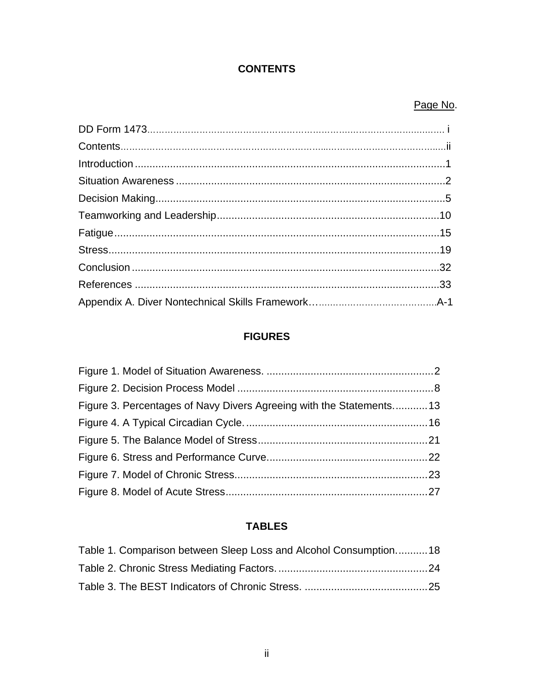# **CONTENTS**

## Page No.

# **FIGURES**

| Figure 3. Percentages of Navy Divers Agreeing with the Statements13 |  |
|---------------------------------------------------------------------|--|
|                                                                     |  |
|                                                                     |  |
|                                                                     |  |
|                                                                     |  |
|                                                                     |  |

# **TABLES**

| Table 1. Comparison between Sleep Loss and Alcohol Consumption18 |  |
|------------------------------------------------------------------|--|
|                                                                  |  |
|                                                                  |  |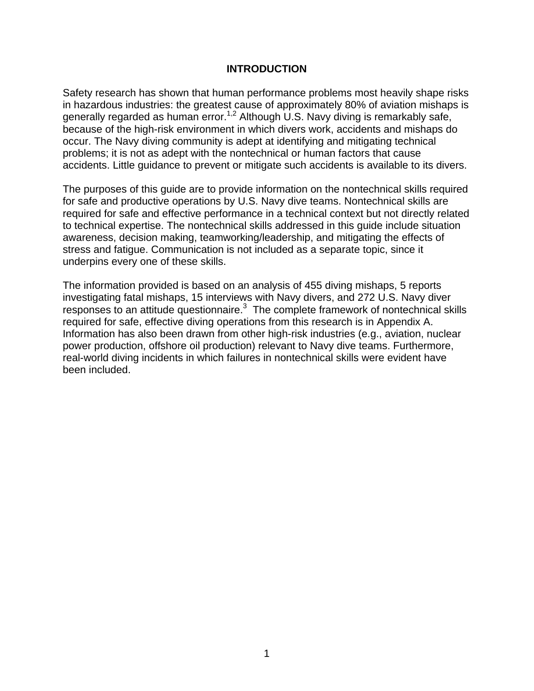#### **INTRODUCTION**

Safety research has shown that human performance problems most heavily shape risks in hazardous industries: the greatest cause of approximately 80% of aviation mishaps is generally regarded as human error.<sup>1,2</sup> Although U.S. Navy diving is remarkably safe, because of the high-risk environment in which divers work, accidents and mishaps do occur. The Navy diving community is adept at identifying and mitigating technical problems; it is not as adept with the nontechnical or human factors that cause accidents. Little guidance to prevent or mitigate such accidents is available to its divers.

The purposes of this guide are to provide information on the nontechnical skills required for safe and productive operations by U.S. Navy dive teams. Nontechnical skills are required for safe and effective performance in a technical context but not directly related to technical expertise. The nontechnical skills addressed in this guide include situation awareness, decision making, teamworking/leadership, and mitigating the effects of stress and fatigue. Communication is not included as a separate topic, since it underpins every one of these skills.

The information provided is based on an analysis of 455 diving mishaps, 5 reports investigating fatal mishaps, 15 interviews with Navy divers, and 272 U.S. Navy diver responses to an attitude questionnaire. $3$  The complete framework of nontechnical skills required for safe, effective diving operations from this research is in Appendix A. Information has also been drawn from other high-risk industries (e.g., aviation, nuclear power production, offshore oil production) relevant to Navy dive teams. Furthermore, real-world diving incidents in which failures in nontechnical skills were evident have been included.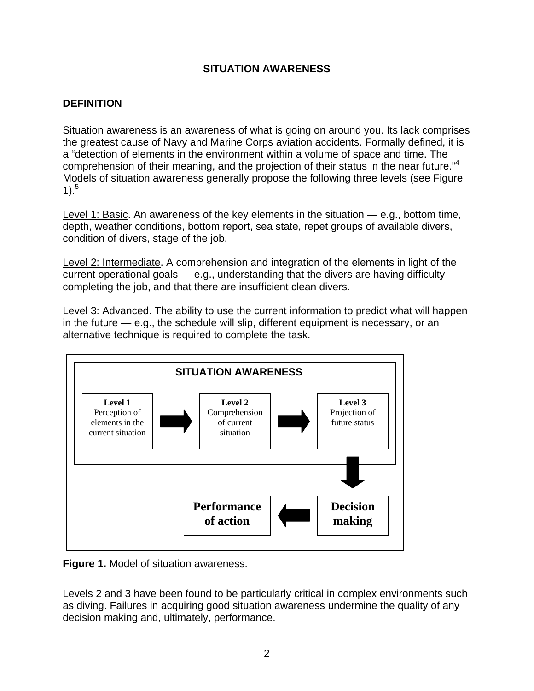## **SITUATION AWARENESS**

## **DEFINITION**

Situation awareness is an awareness of what is going on around you. Its lack comprises the greatest cause of Navy and Marine Corps aviation accidents. Formally defined, it is a "detection of elements in the environment within a volume of space and time. The comprehension of their meaning, and the projection of their status in the near future."<sup>4</sup> Models of situation awareness generally propose the following three levels (see Figure  $1$ .<sup>5</sup>

Level 1: Basic. An awareness of the key elements in the situation — e.g., bottom time, depth, weather conditions, bottom report, sea state, repet groups of available divers, condition of divers, stage of the job.

Level 2: Intermediate. A comprehension and integration of the elements in light of the current operational goals — e.g., understanding that the divers are having difficulty completing the job, and that there are insufficient clean divers.

Level 3: Advanced. The ability to use the current information to predict what will happen in the future — e.g., the schedule will slip, different equipment is necessary, or an alternative technique is required to complete the task.



**Figure 1.** Model of situation awareness.

Levels 2 and 3 have been found to be particularly critical in complex environments such as diving. Failures in acquiring good situation awareness undermine the quality of any decision making and, ultimately, performance.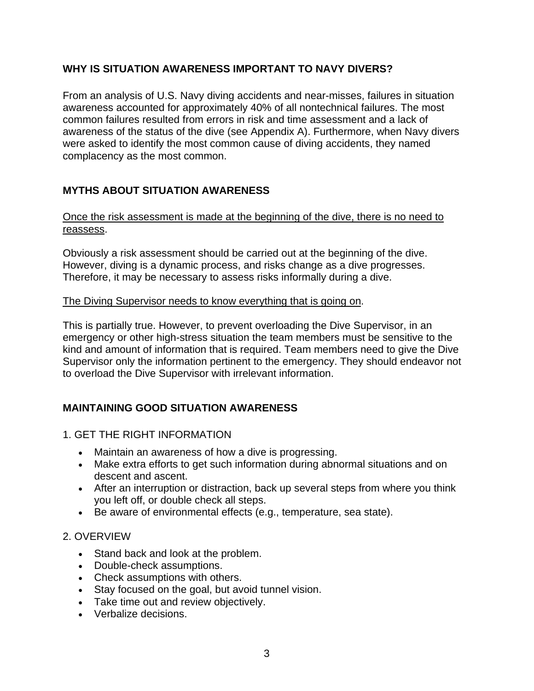## **WHY IS SITUATION AWARENESS IMPORTANT TO NAVY DIVERS?**

From an analysis of U.S. Navy diving accidents and near-misses, failures in situation awareness accounted for approximately 40% of all nontechnical failures. The most common failures resulted from errors in risk and time assessment and a lack of awareness of the status of the dive (see Appendix A). Furthermore, when Navy divers were asked to identify the most common cause of diving accidents, they named complacency as the most common.

## **MYTHS ABOUT SITUATION AWARENESS**

## Once the risk assessment is made at the beginning of the dive, there is no need to reassess.

Obviously a risk assessment should be carried out at the beginning of the dive. However, diving is a dynamic process, and risks change as a dive progresses. Therefore, it may be necessary to assess risks informally during a dive.

## The Diving Supervisor needs to know everything that is going on.

This is partially true. However, to prevent overloading the Dive Supervisor, in an emergency or other high-stress situation the team members must be sensitive to the kind and amount of information that is required. Team members need to give the Dive Supervisor only the information pertinent to the emergency. They should endeavor not to overload the Dive Supervisor with irrelevant information.

# **MAINTAINING GOOD SITUATION AWARENESS**

- 1. GET THE RIGHT INFORMATION
	- Maintain an awareness of how a dive is progressing.
	- Make extra efforts to get such information during abnormal situations and on descent and ascent.
	- After an interruption or distraction, back up several steps from where you think you left off, or double check all steps.
	- Be aware of environmental effects (e.g., temperature, sea state).

## 2. OVERVIEW

- Stand back and look at the problem.
- Double-check assumptions.
- Check assumptions with others.
- Stay focused on the goal, but avoid tunnel vision.
- Take time out and review objectively.
- Verbalize decisions.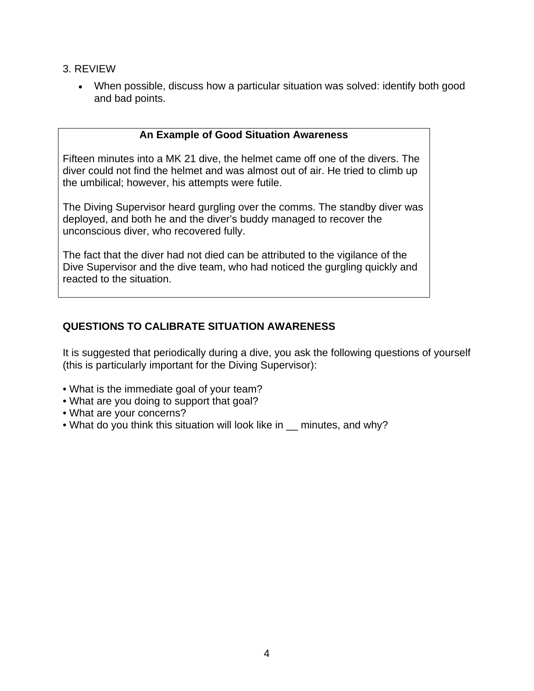- 3. REVIEW
	- When possible, discuss how a particular situation was solved: identify both good and bad points.

## **An Example of Good Situation Awareness**

Fifteen minutes into a MK 21 dive, the helmet came off one of the divers. The diver could not find the helmet and was almost out of air. He tried to climb up the umbilical; however, his attempts were futile.

The Diving Supervisor heard gurgling over the comms. The standby diver was deployed, and both he and the diver's buddy managed to recover the unconscious diver, who recovered fully.

The fact that the diver had not died can be attributed to the vigilance of the Dive Supervisor and the dive team, who had noticed the gurgling quickly and reacted to the situation.

## **QUESTIONS TO CALIBRATE SITUATION AWARENESS**

It is suggested that periodically during a dive, you ask the following questions of yourself (this is particularly important for the Diving Supervisor):

- What is the immediate goal of your team?
- What are you doing to support that goal?
- What are your concerns?
- What do you think this situation will look like in minutes, and why?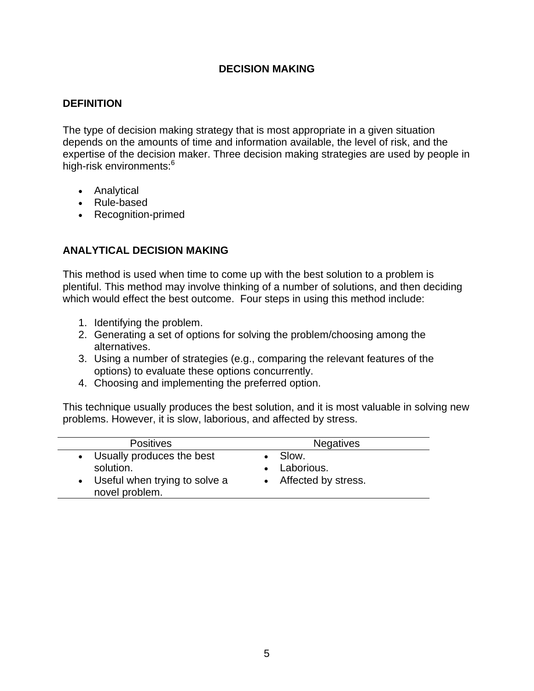## **DECISION MAKING**

## **DEFINITION**

The type of decision making strategy that is most appropriate in a given situation depends on the amounts of time and information available, the level of risk, and the expertise of the decision maker. Three decision making strategies are used by people in high-risk environments:<sup>6</sup>

- Analytical
- Rule-based
- Recognition-primed

## **ANALYTICAL DECISION MAKING**

This method is used when time to come up with the best solution to a problem is plentiful. This method may involve thinking of a number of solutions, and then deciding which would effect the best outcome. Four steps in using this method include:

- 1. Identifying the problem.
- 2. Generating a set of options for solving the problem/choosing among the alternatives.
- 3. Using a number of strategies (e.g., comparing the relevant features of the options) to evaluate these options concurrently.
- 4. Choosing and implementing the preferred option.

This technique usually produces the best solution, and it is most valuable in solving new problems. However, it is slow, laborious, and affected by stress.

| <b>Positives</b>                                                                              | <b>Negatives</b>                                 |
|-----------------------------------------------------------------------------------------------|--------------------------------------------------|
| • Usually produces the best<br>solution.<br>• Useful when trying to solve a<br>novel problem. | • Slow.<br>• Laborious.<br>• Affected by stress. |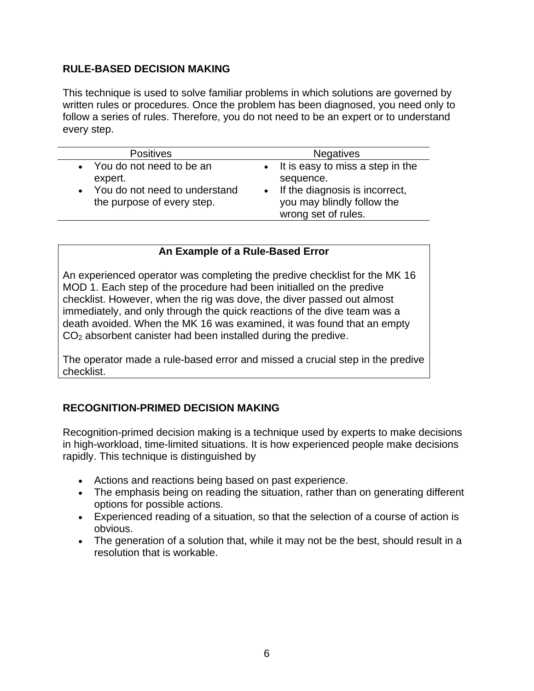## **RULE-BASED DECISION MAKING**

This technique is used to solve familiar problems in which solutions are governed by written rules or procedures. Once the problem has been diagnosed, you need only to follow a series of rules. Therefore, you do not need to be an expert or to understand every step.

| <b>Positives</b>                                                                                       | <b>Negatives</b>                                                                                                                         |
|--------------------------------------------------------------------------------------------------------|------------------------------------------------------------------------------------------------------------------------------------------|
| • You do not need to be an<br>expert.<br>• You do not need to understand<br>the purpose of every step. | • It is easy to miss a step in the<br>sequence.<br>• If the diagnosis is incorrect,<br>you may blindly follow the<br>wrong set of rules. |

## **An Example of a Rule-Based Error**

An experienced operator was completing the predive checklist for the MK 16 MOD 1. Each step of the procedure had been initialled on the predive checklist. However, when the rig was dove, the diver passed out almost immediately, and only through the quick reactions of the dive team was a death avoided. When the MK 16 was examined, it was found that an empty  $CO<sub>2</sub>$  absorbent canister had been installed during the predive.

The operator made a rule-based error and missed a crucial step in the predive checklist.

## **RECOGNITION-PRIMED DECISION MAKING**

Recognition-primed decision making is a technique used by experts to make decisions in high-workload, time-limited situations. It is how experienced people make decisions rapidly. This technique is distinguished by

- Actions and reactions being based on past experience.
- The emphasis being on reading the situation, rather than on generating different options for possible actions.
- Experienced reading of a situation, so that the selection of a course of action is obvious.
- The generation of a solution that, while it may not be the best, should result in a resolution that is workable.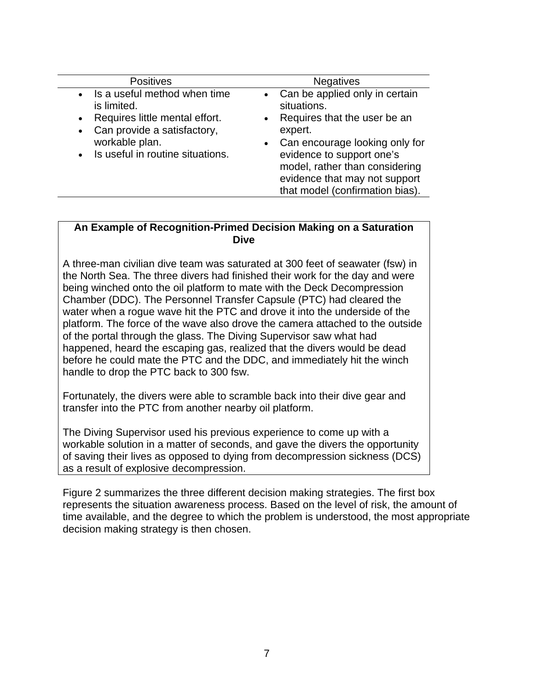| <b>Positives</b>                                                                                                                                                                      | <b>Negatives</b>                                                                                                                                                                                                                                                                                     |
|---------------------------------------------------------------------------------------------------------------------------------------------------------------------------------------|------------------------------------------------------------------------------------------------------------------------------------------------------------------------------------------------------------------------------------------------------------------------------------------------------|
| • Is a useful method when time<br>is limited.<br>• Requires little mental effort.<br>Can provide a satisfactory,<br>$\bullet$<br>workable plan.<br>• Is useful in routine situations. | Can be applied only in certain<br>$\bullet$<br>situations.<br>Requires that the user be an<br>$\bullet$<br>expert.<br>Can encourage looking only for<br>$\bullet$<br>evidence to support one's<br>model, rather than considering<br>evidence that may not support<br>that model (confirmation bias). |

#### **An Example of Recognition-Primed Decision Making on a Saturation Dive**

A three-man civilian dive team was saturated at 300 feet of seawater (fsw) in the North Sea. The three divers had finished their work for the day and were being winched onto the oil platform to mate with the Deck Decompression Chamber (DDC). The Personnel Transfer Capsule (PTC) had cleared the water when a rogue wave hit the PTC and drove it into the underside of the platform. The force of the wave also drove the camera attached to the outside of the portal through the glass. The Diving Supervisor saw what had happened, heard the escaping gas, realized that the divers would be dead before he could mate the PTC and the DDC, and immediately hit the winch handle to drop the PTC back to 300 fsw.

Fortunately, the divers were able to scramble back into their dive gear and transfer into the PTC from another nearby oil platform.

The Diving Supervisor used his previous experience to come up with a workable solution in a matter of seconds, and gave the divers the opportunity of saving their lives as opposed to dying from decompression sickness (DCS) as a result of explosive decompression.

Figure 2 summarizes the three different decision making strategies. The first box represents the situation awareness process. Based on the level of risk, the amount of time available, and the degree to which the problem is understood, the most appropriate decision making strategy is then chosen.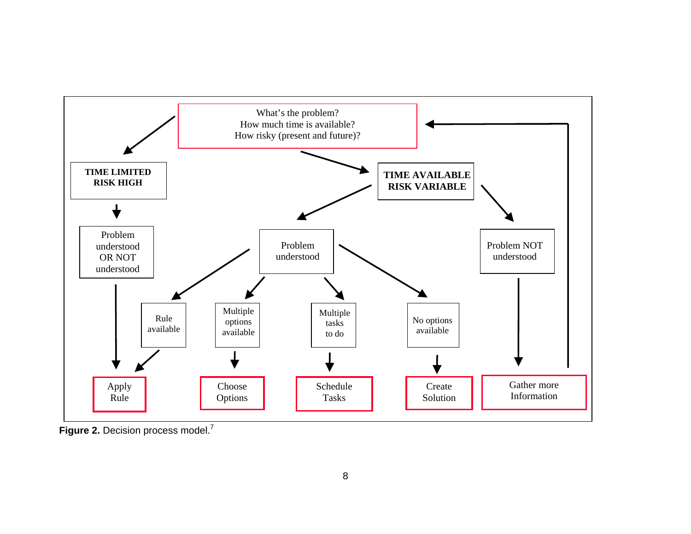

Figure 2. Decision process model.<sup>7</sup>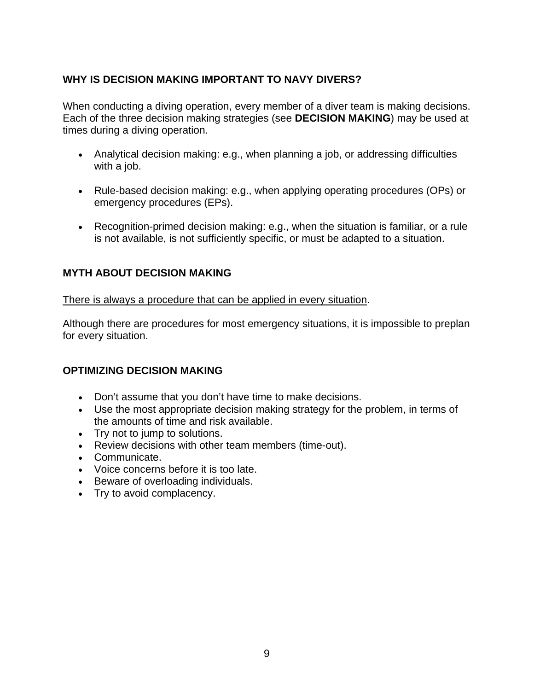## **WHY IS DECISION MAKING IMPORTANT TO NAVY DIVERS?**

When conducting a diving operation, every member of a diver team is making decisions. Each of the three decision making strategies (see **DECISION MAKING**) may be used at times during a diving operation.

- Analytical decision making: e.g., when planning a job, or addressing difficulties with a job.
- Rule-based decision making: e.g., when applying operating procedures (OPs) or emergency procedures (EPs).
- Recognition-primed decision making: e.g., when the situation is familiar, or a rule is not available, is not sufficiently specific, or must be adapted to a situation.

## **MYTH ABOUT DECISION MAKING**

There is always a procedure that can be applied in every situation.

Although there are procedures for most emergency situations, it is impossible to preplan for every situation.

## **OPTIMIZING DECISION MAKING**

- Don't assume that you don't have time to make decisions.
- Use the most appropriate decision making strategy for the problem, in terms of the amounts of time and risk available.
- Try not to jump to solutions.
- Review decisions with other team members (time-out).
- Communicate.
- Voice concerns before it is too late.
- Beware of overloading individuals.
- Try to avoid complacency.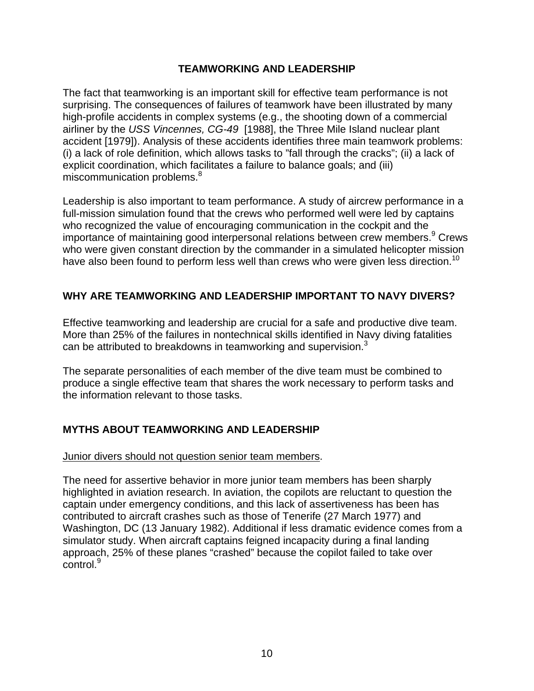## **TEAMWORKING AND LEADERSHIP**

The fact that teamworking is an important skill for effective team performance is not surprising. The consequences of failures of teamwork have been illustrated by many high-profile accidents in complex systems (e.g., the shooting down of a commercial airliner by the *USS Vincennes, CG-49* [1988], the Three Mile Island nuclear plant accident [1979]). Analysis of these accidents identifies three main teamwork problems: (i) a lack of role definition, which allows tasks to "fall through the cracks"; (ii) a lack of explicit coordination, which facilitates a failure to balance goals; and (iii) miscommunication problems.<sup>8</sup>

Leadership is also important to team performance. A study of aircrew performance in a full-mission simulation found that the crews who performed well were led by captains who recognized the value of encouraging communication in the cockpit and the importance of maintaining good interpersonal relations between crew members.<sup>9</sup> Crews who were given constant direction by the commander in a simulated helicopter mission have also been found to perform less well than crews who were given less direction.<sup>10</sup>

## **WHY ARE TEAMWORKING AND LEADERSHIP IMPORTANT TO NAVY DIVERS?**

Effective teamworking and leadership are crucial for a safe and productive dive team. More than 25% of the failures in nontechnical skills identified in Navy diving fatalities can be attributed to breakdowns in teamworking and supervision.<sup>3</sup>

The separate personalities of each member of the dive team must be combined to produce a single effective team that shares the work necessary to perform tasks and the information relevant to those tasks.

## **MYTHS ABOUT TEAMWORKING AND LEADERSHIP**

## Junior divers should not question senior team members.

The need for assertive behavior in more junior team members has been sharply highlighted in aviation research. In aviation, the copilots are reluctant to question the captain under emergency conditions, and this lack of assertiveness has been has contributed to aircraft crashes such as those of Tenerife (27 March 1977) and Washington, DC (13 January 1982). Additional if less dramatic evidence comes from a simulator study. When aircraft captains feigned incapacity during a final landing approach, 25% of these planes "crashed" because the copilot failed to take over  $control<sup>9</sup>$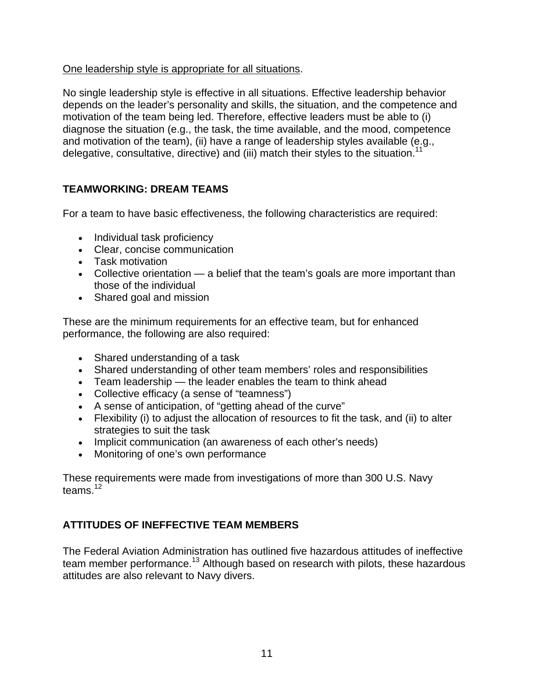## One leadership style is appropriate for all situations.

No single leadership style is effective in all situations. Effective leadership behavior depends on the leader's personality and skills, the situation, and the competence and motivation of the team being led. Therefore, effective leaders must be able to (i) diagnose the situation (e.g., the task, the time available, and the mood, competence and motivation of the team), (ii) have a range of leadership styles available (e.g., delegative, consultative, directive) and (iii) match their styles to the situation.<sup>1</sup>

## **TEAMWORKING: DREAM TEAMS**

For a team to have basic effectiveness, the following characteristics are required:

- Individual task proficiency
- Clear, concise communication
- Task motivation
- Collective orientation a belief that the team's goals are more important than those of the individual
- Shared goal and mission

These are the minimum requirements for an effective team, but for enhanced performance, the following are also required:

- Shared understanding of a task
- Shared understanding of other team members' roles and responsibilities
- Team leadership the leader enables the team to think ahead
- Collective efficacy (a sense of "teamness")
- A sense of anticipation, of "getting ahead of the curve"
- Flexibility (i) to adjust the allocation of resources to fit the task, and (ii) to alter strategies to suit the task
- Implicit communication (an awareness of each other's needs)
- Monitoring of one's own performance

These requirements were made from investigations of more than 300 U.S. Navy teams. $12$ 

# **ATTITUDES OF INEFFECTIVE TEAM MEMBERS**

The Federal Aviation Administration has outlined five hazardous attitudes of ineffective team member performance.<sup>13</sup> Although based on research with pilots, these hazardous attitudes are also relevant to Navy divers.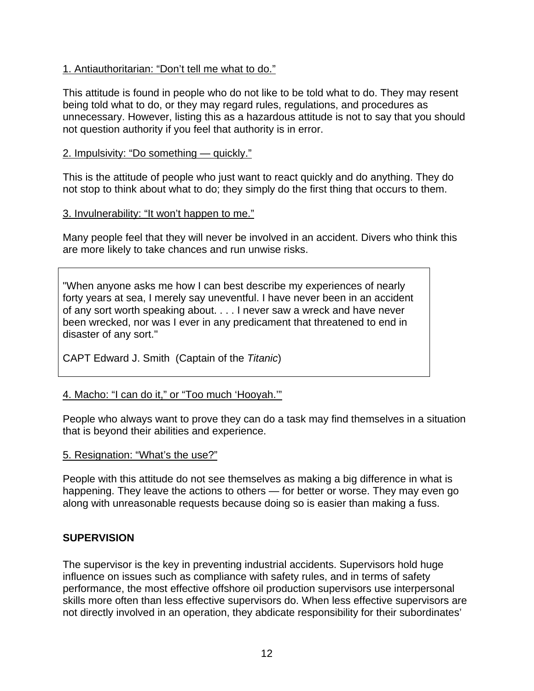## 1. Antiauthoritarian: "Don't tell me what to do."

This attitude is found in people who do not like to be told what to do. They may resent being told what to do, or they may regard rules, regulations, and procedures as unnecessary. However, listing this as a hazardous attitude is not to say that you should not question authority if you feel that authority is in error.

#### 2. Impulsivity: "Do something — quickly."

This is the attitude of people who just want to react quickly and do anything. They do not stop to think about what to do; they simply do the first thing that occurs to them.

## 3. Invulnerability: "It won't happen to me."

Many people feel that they will never be involved in an accident. Divers who think this are more likely to take chances and run unwise risks.

"When anyone asks me how I can best describe my experiences of nearly forty years at sea, I merely say uneventful. I have never been in an accident of any sort worth speaking about. . . . I never saw a wreck and have never been wrecked, nor was I ever in any predicament that threatened to end in disaster of any sort."

CAPT Edward J. Smith (Captain of the *Titanic*)

## 4. Macho: "I can do it," or "Too much 'Hooyah.'"

People who always want to prove they can do a task may find themselves in a situation that is beyond their abilities and experience.

#### 5. Resignation: "What's the use?"

People with this attitude do not see themselves as making a big difference in what is happening. They leave the actions to others — for better or worse. They may even go along with unreasonable requests because doing so is easier than making a fuss.

## **SUPERVISION**

The supervisor is the key in preventing industrial accidents. Supervisors hold huge influence on issues such as compliance with safety rules, and in terms of safety performance, the most effective offshore oil production supervisors use interpersonal skills more often than less effective supervisors do. When less effective supervisors are not directly involved in an operation, they abdicate responsibility for their subordinates'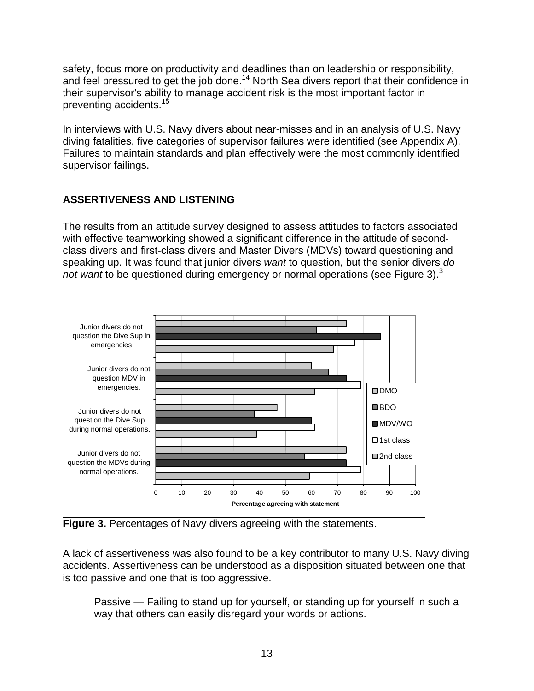safety, focus more on productivity and deadlines than on leadership or responsibility, and feel pressured to get the job done.<sup>14</sup> North Sea divers report that their confidence in their supervisor's ability to manage accident risk is the most important factor in preventing accidents.<sup>15</sup>

In interviews with U.S. Navy divers about near-misses and in an analysis of U.S. Navy diving fatalities, five categories of supervisor failures were identified (see Appendix A). Failures to maintain standards and plan effectively were the most commonly identified supervisor failings.

## **ASSERTIVENESS AND LISTENING**

The results from an attitude survey designed to assess attitudes to factors associated with effective teamworking showed a significant difference in the attitude of secondclass divers and first-class divers and Master Divers (MDVs) toward questioning and speaking up. It was found that junior divers *want* to question, but the senior divers *do not want* to be questioned during emergency or normal operations (see Figure 3).<sup>3</sup>



**Figure 3.** Percentages of Navy divers agreeing with the statements.

A lack of assertiveness was also found to be a key contributor to many U.S. Navy diving accidents. Assertiveness can be understood as a disposition situated between one that is too passive and one that is too aggressive.

Passive — Failing to stand up for yourself, or standing up for yourself in such a way that others can easily disregard your words or actions.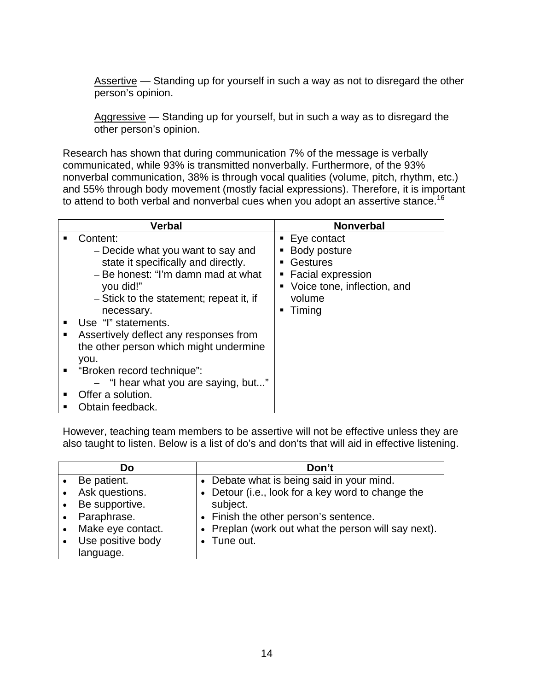Assertive — Standing up for yourself in such a way as not to disregard the other person's opinion.

Aggressive — Standing up for yourself, but in such a way as to disregard the other person's opinion.

Research has shown that during communication 7% of the message is verbally communicated, while 93% is transmitted nonverbally. Furthermore, of the 93% nonverbal communication, 38% is through vocal qualities (volume, pitch, rhythm, etc.) and 55% through body movement (mostly facial expressions). Therefore, it is important to attend to both verbal and nonverbal cues when you adopt an assertive stance.<sup>16</sup>

|                | <b>Verbal</b>                           | <b>Nonverbal</b>              |
|----------------|-----------------------------------------|-------------------------------|
|                | Content:                                | $\blacksquare$ Eye contact    |
|                | - Decide what you want to say and       | • Body posture                |
|                | state it specifically and directly.     | <b>Gestures</b>               |
|                | - Be honest: "I'm damn mad at what      | • Facial expression           |
|                | you did!"                               | • Voice tone, inflection, and |
|                | - Stick to the statement; repeat it, if | volume                        |
|                | necessary.                              | Timing                        |
|                | Use "I" statements.                     |                               |
|                | Assertively deflect any responses from  |                               |
|                | the other person which might undermine  |                               |
|                | you.                                    |                               |
| $\blacksquare$ | "Broken record technique":              |                               |
|                | - "I hear what you are saying, but"     |                               |
|                | Offer a solution.                       |                               |
|                | Obtain feedback.                        |                               |

However, teaching team members to be assertive will not be effective unless they are also taught to listen. Below is a list of do's and don'ts that will aid in effective listening.

| Do                             | Don't                                               |
|--------------------------------|-----------------------------------------------------|
| Be patient.                    | • Debate what is being said in your mind.           |
| Ask questions.                 | • Detour (i.e., look for a key word to change the   |
| Be supportive.                 | subject.                                            |
| Paraphrase.                    | • Finish the other person's sentence.               |
| Make eye contact.<br>$\bullet$ | • Preplan (work out what the person will say next). |
| Use positive body              | • Tune out.                                         |
| language.                      |                                                     |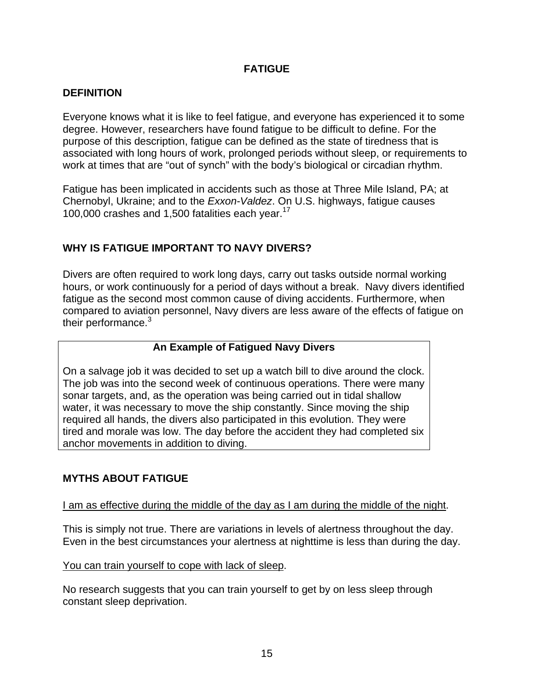## **FATIGUE**

## **DEFINITION**

Everyone knows what it is like to feel fatigue, and everyone has experienced it to some degree. However, researchers have found fatigue to be difficult to define. For the purpose of this description, fatigue can be defined as the state of tiredness that is associated with long hours of work, prolonged periods without sleep, or requirements to work at times that are "out of synch" with the body's biological or circadian rhythm.

Fatigue has been implicated in accidents such as those at Three Mile Island, PA; at Chernobyl, Ukraine; and to the *Exxon-Valdez*. On U.S. highways, fatigue causes 100,000 crashes and 1,500 fatalities each year.<sup>17</sup>

## **WHY IS FATIGUE IMPORTANT TO NAVY DIVERS?**

Divers are often required to work long days, carry out tasks outside normal working hours, or work continuously for a period of days without a break. Navy divers identified fatigue as the second most common cause of diving accidents. Furthermore, when compared to aviation personnel, Navy divers are less aware of the effects of fatigue on their performance. $3$ 

## **An Example of Fatigued Navy Divers**

On a salvage job it was decided to set up a watch bill to dive around the clock. The job was into the second week of continuous operations. There were many sonar targets, and, as the operation was being carried out in tidal shallow water, it was necessary to move the ship constantly. Since moving the ship required all hands, the divers also participated in this evolution. They were tired and morale was low. The day before the accident they had completed six anchor movements in addition to diving.

## **MYTHS ABOUT FATIGUE**

## I am as effective during the middle of the day as I am during the middle of the night.

This is simply not true. There are variations in levels of alertness throughout the day. Even in the best circumstances your alertness at nighttime is less than during the day.

## You can train yourself to cope with lack of sleep.

No research suggests that you can train yourself to get by on less sleep through constant sleep deprivation.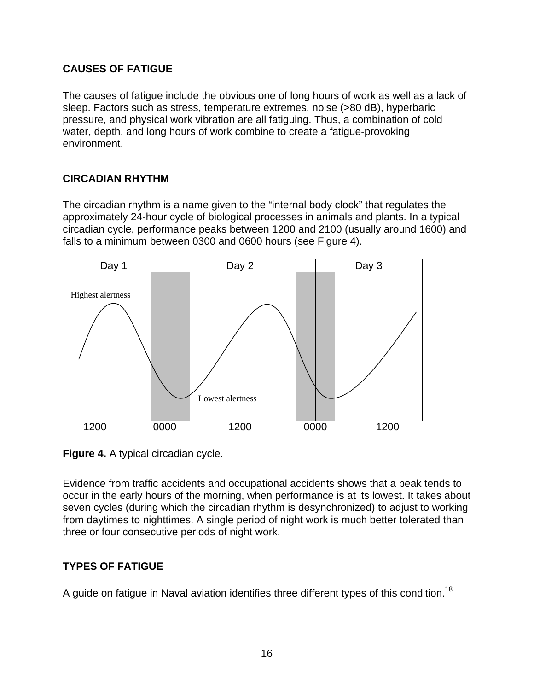## **CAUSES OF FATIGUE**

The causes of fatigue include the obvious one of long hours of work as well as a lack of sleep. Factors such as stress, temperature extremes, noise (>80 dB), hyperbaric pressure, and physical work vibration are all fatiguing. Thus, a combination of cold water, depth, and long hours of work combine to create a fatigue-provoking environment.

## **CIRCADIAN RHYTHM**

The circadian rhythm is a name given to the "internal body clock" that regulates the approximately 24-hour cycle of biological processes in animals and plants. In a typical circadian cycle, performance peaks between 1200 and 2100 (usually around 1600) and falls to a minimum between 0300 and 0600 hours (see Figure 4).



**Figure 4.** A typical circadian cycle.

Evidence from traffic accidents and occupational accidents shows that a peak tends to occur in the early hours of the morning, when performance is at its lowest. It takes about seven cycles (during which the circadian rhythm is desynchronized) to adjust to working from daytimes to nighttimes. A single period of night work is much better tolerated than three or four consecutive periods of night work.

# **TYPES OF FATIGUE**

A guide on fatigue in Naval aviation identifies three different types of this condition.<sup>18</sup>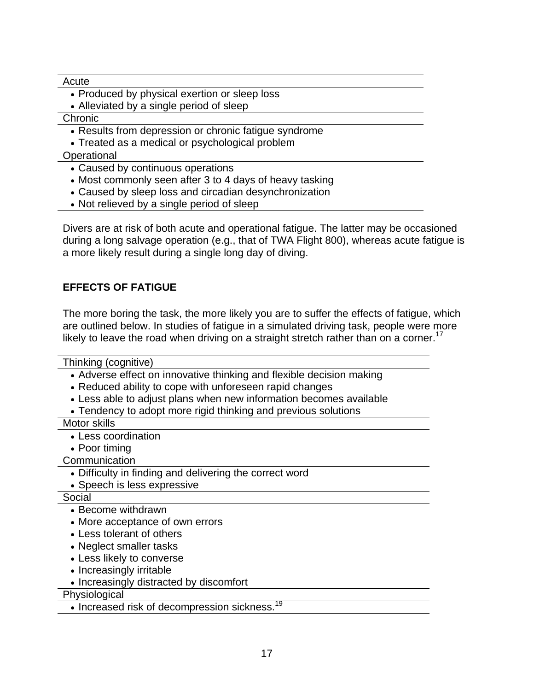Acute

- Produced by physical exertion or sleep loss
- Alleviated by a single period of sleep

Chronic

• Results from depression or chronic fatigue syndrome

• Treated as a medical or psychological problem

**Operational** 

- Caused by continuous operations
- Most commonly seen after 3 to 4 days of heavy tasking
- Caused by sleep loss and circadian desynchronization
- Not relieved by a single period of sleep

Divers are at risk of both acute and operational fatigue. The latter may be occasioned during a long salvage operation (e.g., that of TWA Flight 800), whereas acute fatigue is a more likely result during a single long day of diving.

## **EFFECTS OF FATIGUE**

The more boring the task, the more likely you are to suffer the effects of fatigue, which are outlined below. In studies of fatigue in a simulated driving task, people were more likely to leave the road when driving on a straight stretch rather than on a corner.<sup>17</sup>

Thinking (cognitive)

- Adverse effect on innovative thinking and flexible decision making
- Reduced ability to cope with unforeseen rapid changes
- Less able to adjust plans when new information becomes available
- Tendency to adopt more rigid thinking and previous solutions

Motor skills

- Less coordination
- Poor timing

**Communication** 

- Difficulty in finding and delivering the correct word
- Speech is less expressive

Social

- Become withdrawn
- More acceptance of own errors
- Less tolerant of others
- Neglect smaller tasks
- Less likely to converse
- Increasingly irritable
- Increasingly distracted by discomfort

**Physiological** 

• Increased risk of decompression sickness.<sup>19</sup>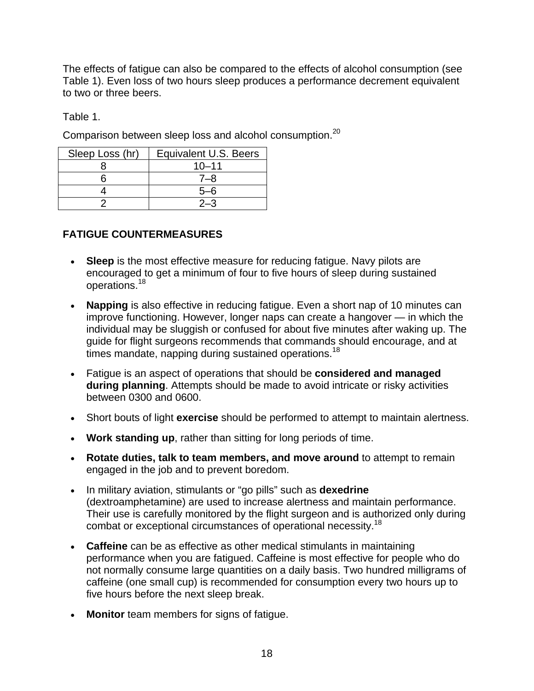The effects of fatigue can also be compared to the effects of alcohol consumption (see Table 1). Even loss of two hours sleep produces a performance decrement equivalent to two or three beers.

Table 1.

Comparison between sleep loss and alcohol consumption.<sup>20</sup>

| Sleep Loss (hr) | Equivalent U.S. Beers |
|-----------------|-----------------------|
|                 | $10 - 11$             |
|                 | 7–8                   |
|                 | $5-6$                 |
|                 | $2 - 3$               |

# **FATIGUE COUNTERMEASURES**

- **Sleep** is the most effective measure for reducing fatigue. Navy pilots are encouraged to get a minimum of four to five hours of sleep during sustained operations.<sup>18</sup>
- **Napping** is also effective in reducing fatigue. Even a short nap of 10 minutes can improve functioning. However, longer naps can create a hangover — in which the individual may be sluggish or confused for about five minutes after waking up. The guide for flight surgeons recommends that commands should encourage, and at times mandate, napping during sustained operations.<sup>18</sup>
- Fatigue is an aspect of operations that should be **considered and managed during planning**. Attempts should be made to avoid intricate or risky activities between 0300 and 0600.
- Short bouts of light **exercise** should be performed to attempt to maintain alertness.
- **Work standing up**, rather than sitting for long periods of time.
- **Rotate duties, talk to team members, and move around** to attempt to remain engaged in the job and to prevent boredom.
- In military aviation, stimulants or "go pills" such as **dexedrine** (dextroamphetamine) are used to increase alertness and maintain performance. Their use is carefully monitored by the flight surgeon and is authorized only during combat or exceptional circumstances of operational necessity.18
- **Caffeine** can be as effective as other medical stimulants in maintaining performance when you are fatigued. Caffeine is most effective for people who do not normally consume large quantities on a daily basis. Two hundred milligrams of caffeine (one small cup) is recommended for consumption every two hours up to five hours before the next sleep break.
- **Monitor** team members for signs of fatigue.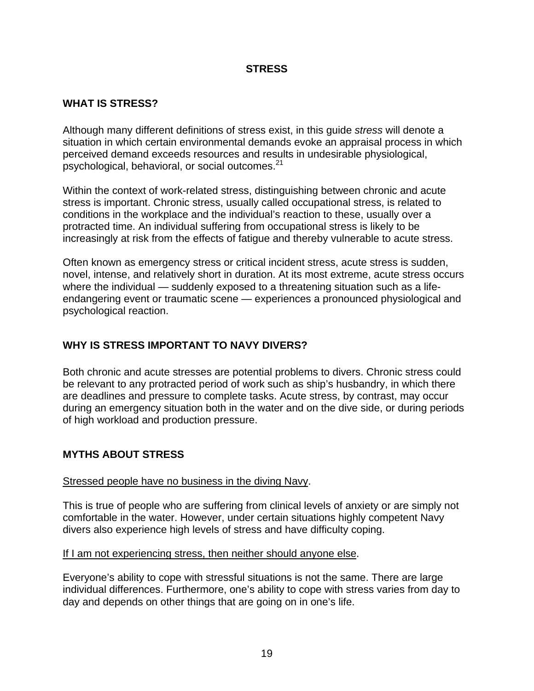## **STRESS**

## **WHAT IS STRESS?**

Although many different definitions of stress exist, in this guide *stress* will denote a situation in which certain environmental demands evoke an appraisal process in which perceived demand exceeds resources and results in undesirable physiological, psychological, behavioral, or social outcomes.<sup>21</sup>

Within the context of work-related stress, distinguishing between chronic and acute stress is important. Chronic stress, usually called occupational stress, is related to conditions in the workplace and the individual's reaction to these, usually over a protracted time. An individual suffering from occupational stress is likely to be increasingly at risk from the effects of fatigue and thereby vulnerable to acute stress.

Often known as emergency stress or critical incident stress, acute stress is sudden, novel, intense, and relatively short in duration. At its most extreme, acute stress occurs where the individual — suddenly exposed to a threatening situation such as a lifeendangering event or traumatic scene — experiences a pronounced physiological and psychological reaction.

## **WHY IS STRESS IMPORTANT TO NAVY DIVERS?**

Both chronic and acute stresses are potential problems to divers. Chronic stress could be relevant to any protracted period of work such as ship's husbandry, in which there are deadlines and pressure to complete tasks. Acute stress, by contrast, may occur during an emergency situation both in the water and on the dive side, or during periods of high workload and production pressure.

## **MYTHS ABOUT STRESS**

#### Stressed people have no business in the diving Navy.

This is true of people who are suffering from clinical levels of anxiety or are simply not comfortable in the water. However, under certain situations highly competent Navy divers also experience high levels of stress and have difficulty coping.

#### If I am not experiencing stress, then neither should anyone else.

Everyone's ability to cope with stressful situations is not the same. There are large individual differences. Furthermore, one's ability to cope with stress varies from day to day and depends on other things that are going on in one's life.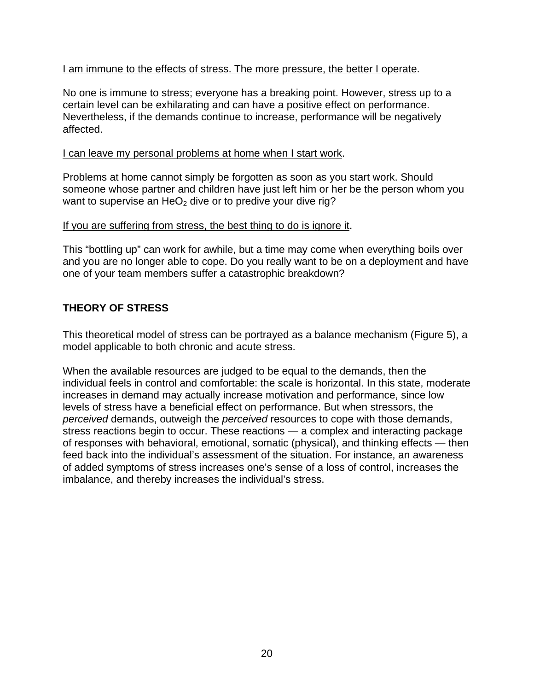## I am immune to the effects of stress. The more pressure, the better I operate.

No one is immune to stress; everyone has a breaking point. However, stress up to a certain level can be exhilarating and can have a positive effect on performance. Nevertheless, if the demands continue to increase, performance will be negatively affected.

#### I can leave my personal problems at home when I start work.

Problems at home cannot simply be forgotten as soon as you start work. Should someone whose partner and children have just left him or her be the person whom you want to supervise an  $HeO<sub>2</sub>$  dive or to predive your dive rig?

## If you are suffering from stress, the best thing to do is ignore it.

This "bottling up" can work for awhile, but a time may come when everything boils over and you are no longer able to cope. Do you really want to be on a deployment and have one of your team members suffer a catastrophic breakdown?

## **THEORY OF STRESS**

This theoretical model of stress can be portrayed as a balance mechanism (Figure 5), a model applicable to both chronic and acute stress.

When the available resources are judged to be equal to the demands, then the individual feels in control and comfortable: the scale is horizontal. In this state, moderate increases in demand may actually increase motivation and performance, since low levels of stress have a beneficial effect on performance. But when stressors, the *perceived* demands, outweigh the *perceived* resources to cope with those demands, stress reactions begin to occur. These reactions — a complex and interacting package of responses with behavioral, emotional, somatic (physical), and thinking effects — then feed back into the individual's assessment of the situation. For instance, an awareness of added symptoms of stress increases one's sense of a loss of control, increases the imbalance, and thereby increases the individual's stress.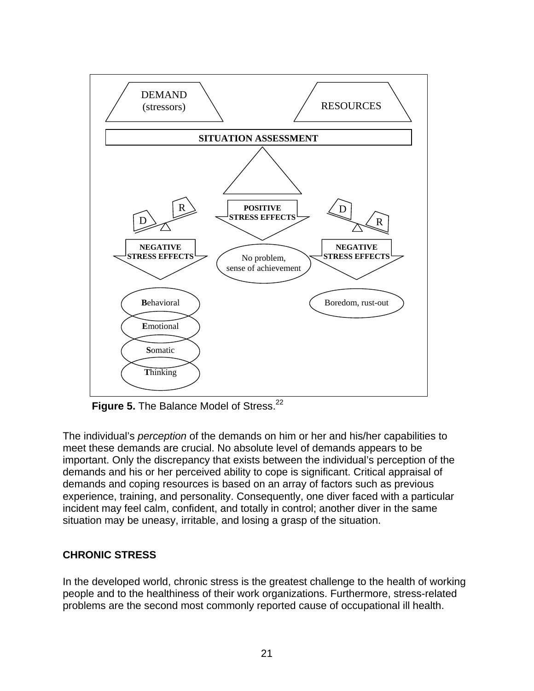

Figure 5. The Balance Model of Stress.<sup>22</sup>

The individual's *perception* of the demands on him or her and his/her capabilities to meet these demands are crucial. No absolute level of demands appears to be important. Only the discrepancy that exists between the individual's perception of the demands and his or her perceived ability to cope is significant. Critical appraisal of demands and coping resources is based on an array of factors such as previous experience, training, and personality. Consequently, one diver faced with a particular incident may feel calm, confident, and totally in control; another diver in the same situation may be uneasy, irritable, and losing a grasp of the situation.

## **CHRONIC STRESS**

In the developed world, chronic stress is the greatest challenge to the health of working people and to the healthiness of their work organizations. Furthermore, stress-related problems are the second most commonly reported cause of occupational ill health.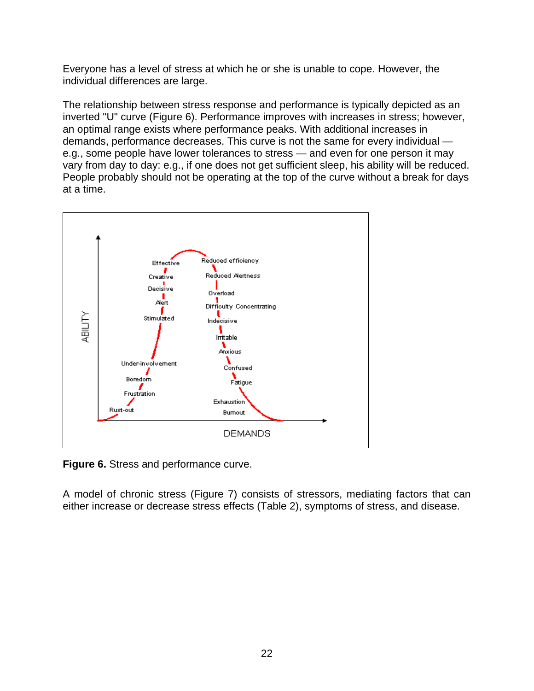Everyone has a level of stress at which he or she is unable to cope. However, the individual differences are large.

The relationship between stress response and performance is typically depicted as an inverted "U" curve (Figure 6). Performance improves with increases in stress; however, an optimal range exists where performance peaks. With additional increases in demands, performance decreases. This curve is not the same for every individual e.g., some people have lower tolerances to stress — and even for one person it may vary from day to day: e.g., if one does not get sufficient sleep, his ability will be reduced. People probably should not be operating at the top of the curve without a break for days at a time.



**Figure 6.** Stress and performance curve.

A model of chronic stress (Figure 7) consists of stressors, mediating factors that can either increase or decrease stress effects (Table 2), symptoms of stress, and disease.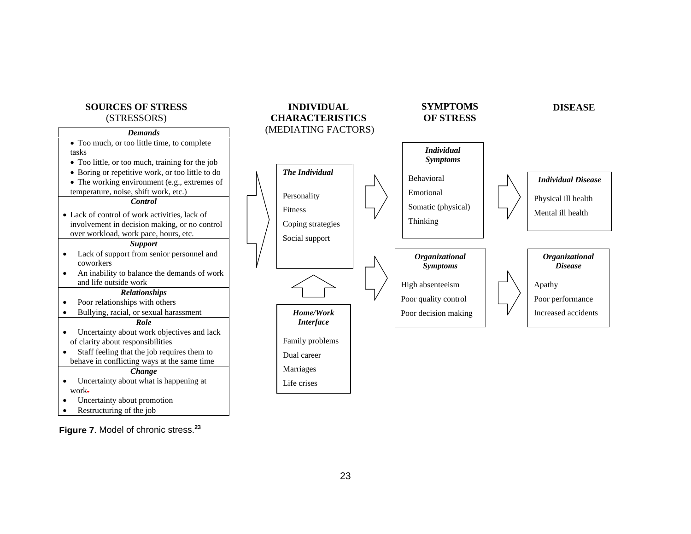

**Figure 7.** Model of chronic stress.**<sup>23</sup>**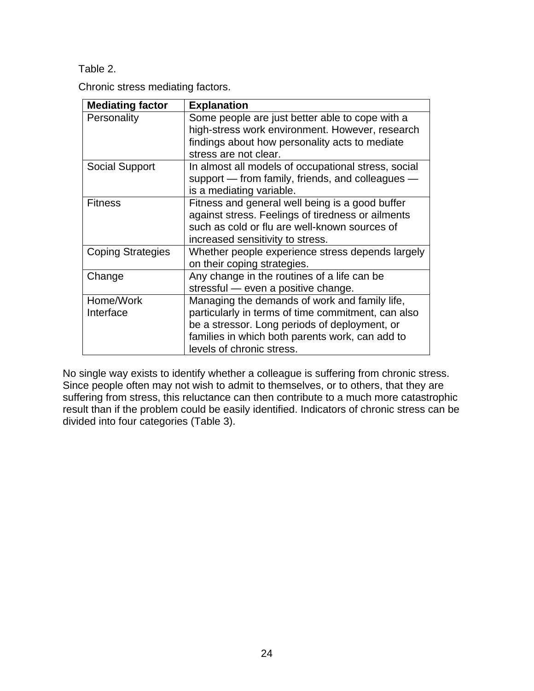Table 2.

Chronic stress mediating factors.

| <b>Mediating factor</b>  | <b>Explanation</b>                                  |
|--------------------------|-----------------------------------------------------|
| Personality              | Some people are just better able to cope with a     |
|                          | high-stress work environment. However, research     |
|                          | findings about how personality acts to mediate      |
|                          | stress are not clear.                               |
| <b>Social Support</b>    | In almost all models of occupational stress, social |
|                          | support — from family, friends, and colleagues —    |
|                          | is a mediating variable.                            |
| <b>Fitness</b>           | Fitness and general well being is a good buffer     |
|                          | against stress. Feelings of tiredness or ailments   |
|                          | such as cold or flu are well-known sources of       |
|                          | increased sensitivity to stress.                    |
| <b>Coping Strategies</b> | Whether people experience stress depends largely    |
|                          | on their coping strategies.                         |
| Change                   | Any change in the routines of a life can be         |
|                          | stressful - even a positive change.                 |
| Home/Work                | Managing the demands of work and family life,       |
| Interface                | particularly in terms of time commitment, can also  |
|                          | be a stressor. Long periods of deployment, or       |
|                          | families in which both parents work, can add to     |
|                          | levels of chronic stress.                           |

No single way exists to identify whether a colleague is suffering from chronic stress. Since people often may not wish to admit to themselves, or to others, that they are suffering from stress, this reluctance can then contribute to a much more catastrophic result than if the problem could be easily identified. Indicators of chronic stress can be divided into four categories (Table 3).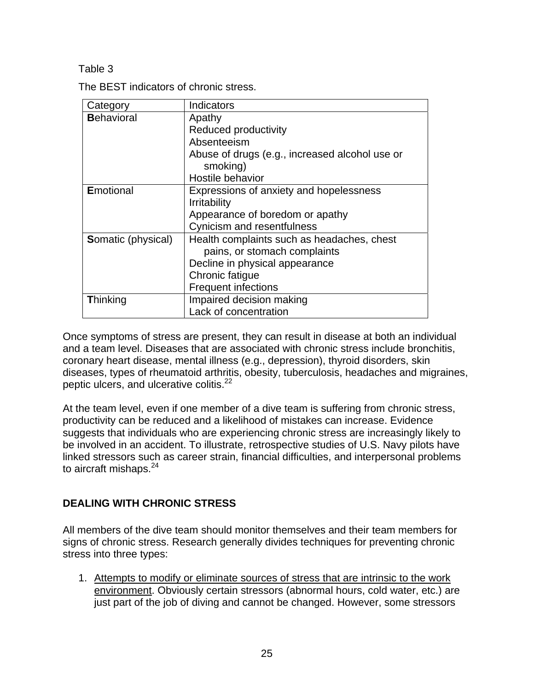Table 3

The BEST indicators of chronic stress.

| Category                  | Indicators                                     |  |
|---------------------------|------------------------------------------------|--|
| <b>Behavioral</b>         | Apathy                                         |  |
|                           | Reduced productivity                           |  |
|                           | Absenteeism                                    |  |
|                           | Abuse of drugs (e.g., increased alcohol use or |  |
|                           | smoking)                                       |  |
|                           | Hostile behavior                               |  |
| <b>Emotional</b>          | Expressions of anxiety and hopelessness        |  |
|                           | <b>Irritability</b>                            |  |
|                           | Appearance of boredom or apathy                |  |
|                           | Cynicism and resentfulness                     |  |
| <b>Somatic (physical)</b> | Health complaints such as headaches, chest     |  |
|                           | pains, or stomach complaints                   |  |
|                           | Decline in physical appearance                 |  |
|                           | Chronic fatigue                                |  |
|                           | <b>Frequent infections</b>                     |  |
| <b>Thinking</b>           | Impaired decision making                       |  |
|                           | Lack of concentration                          |  |

Once symptoms of stress are present, they can result in disease at both an individual and a team level. Diseases that are associated with chronic stress include bronchitis, coronary heart disease, mental illness (e.g., depression), thyroid disorders, skin diseases, types of rheumatoid arthritis, obesity, tuberculosis, headaches and migraines, peptic ulcers, and ulcerative colitis.<sup>22</sup>

At the team level, even if one member of a dive team is suffering from chronic stress, productivity can be reduced and a likelihood of mistakes can increase. Evidence suggests that individuals who are experiencing chronic stress are increasingly likely to be involved in an accident. To illustrate, retrospective studies of U.S. Navy pilots have linked stressors such as career strain, financial difficulties, and interpersonal problems to aircraft mishaps. $24$ 

## **DEALING WITH CHRONIC STRESS**

All members of the dive team should monitor themselves and their team members for signs of chronic stress. Research generally divides techniques for preventing chronic stress into three types:

1. Attempts to modify or eliminate sources of stress that are intrinsic to the work environment. Obviously certain stressors (abnormal hours, cold water, etc.) are just part of the job of diving and cannot be changed. However, some stressors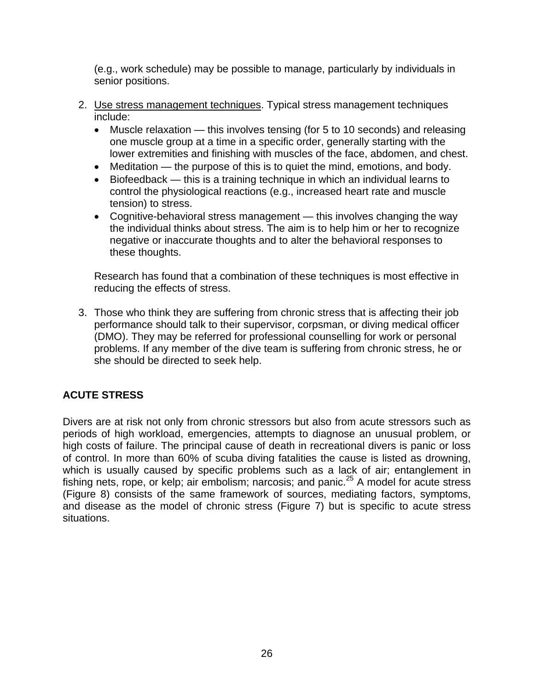(e.g., work schedule) may be possible to manage, particularly by individuals in senior positions.

- 2. Use stress management techniques. Typical stress management techniques include:
	- Muscle relaxation this involves tensing (for 5 to 10 seconds) and releasing one muscle group at a time in a specific order, generally starting with the lower extremities and finishing with muscles of the face, abdomen, and chest.
	- Meditation the purpose of this is to quiet the mind, emotions, and body.
	- Biofeedback this is a training technique in which an individual learns to control the physiological reactions (e.g., increased heart rate and muscle tension) to stress.
	- Cognitive-behavioral stress management this involves changing the way the individual thinks about stress. The aim is to help him or her to recognize negative or inaccurate thoughts and to alter the behavioral responses to these thoughts.

Research has found that a combination of these techniques is most effective in reducing the effects of stress.

3. Those who think they are suffering from chronic stress that is affecting their job performance should talk to their supervisor, corpsman, or diving medical officer (DMO). They may be referred for professional counselling for work or personal problems. If any member of the dive team is suffering from chronic stress, he or she should be directed to seek help.

# **ACUTE STRESS**

Divers are at risk not only from chronic stressors but also from acute stressors such as periods of high workload, emergencies, attempts to diagnose an unusual problem, or high costs of failure. The principal cause of death in recreational divers is panic or loss of control. In more than 60% of scuba diving fatalities the cause is listed as drowning, which is usually caused by specific problems such as a lack of air; entanglement in fishing nets, rope, or kelp; air embolism; narcosis; and panic.<sup>25</sup> A model for acute stress (Figure 8) consists of the same framework of sources, mediating factors, symptoms, and disease as the model of chronic stress (Figure 7) but is specific to acute stress situations.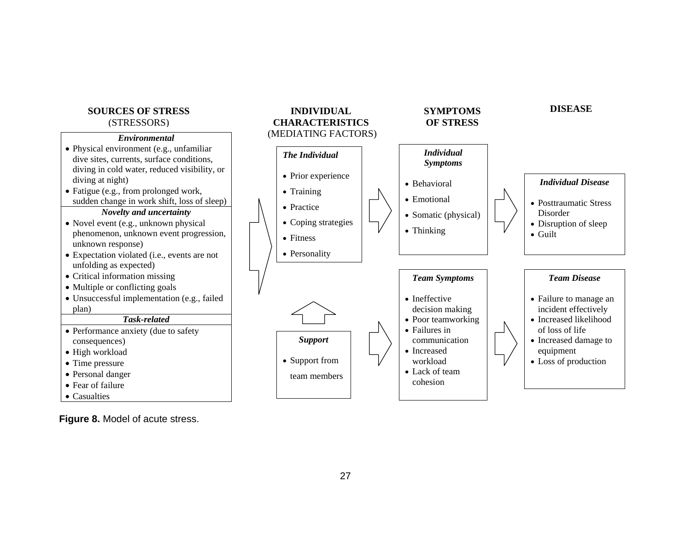#### **SOURCES OF STRESS**(STRESSORS)

#### *Environmental*

- Physical environment (e.g., unfamiliar dive sites, currents, surface conditions, diving in cold water, reduced visibility, or diving at night) • Fatigue (e.g., from prolonged work, sudden change in work shift, loss of sleep) *Novelty and uncertainty*  • Novel event (e.g., unknown physical phenomenon, unknown event progression,
- unknown response) • Expectation violated (i.e., events are not
- unfolding as expected)
- Critical information missing
- Multiple or conflicting goals
- Unsuccessful implementation (e.g., failed plan)

#### *Task-related*

- Performance anxiety (due to safety consequences) • High workload
- Time pressure
- Personal danger
- Fear of failure
- Casualties



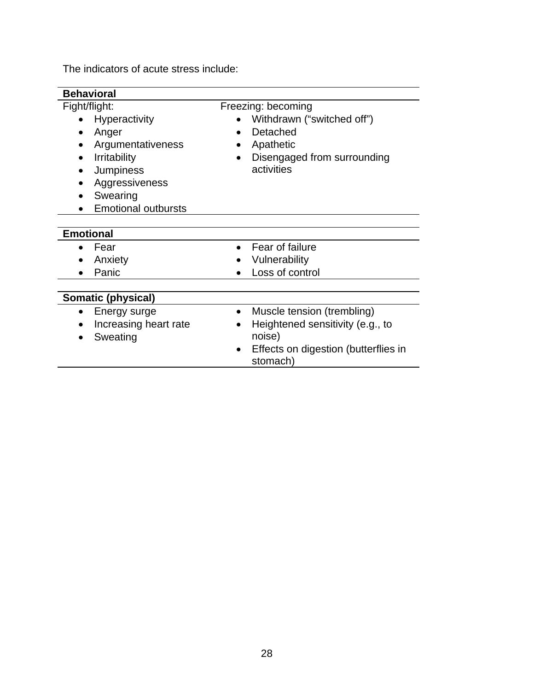The indicators of acute stress include:

| <b>Behavioral</b>                            |                                                                                                                                                                     |  |                                                                                                                              |  |  |  |
|----------------------------------------------|---------------------------------------------------------------------------------------------------------------------------------------------------------------------|--|------------------------------------------------------------------------------------------------------------------------------|--|--|--|
|                                              | Fight/flight:<br>Hyperactivity<br>Anger<br>Argumentativeness<br><b>Irritability</b><br><b>Jumpiness</b><br>Aggressiveness<br>Swearing<br><b>Emotional outbursts</b> |  | Freezing: becoming<br>Withdrawn ("switched off")<br>Detached<br>Apathetic<br>Disengaged from surrounding<br>activities       |  |  |  |
| <b>Emotional</b><br>Fear<br>Anxiety<br>Panic |                                                                                                                                                                     |  | Fear of failure<br>Vulnerability<br>Loss of control                                                                          |  |  |  |
| Somatic (physical)                           |                                                                                                                                                                     |  |                                                                                                                              |  |  |  |
|                                              | Energy surge<br>Increasing heart rate<br>Sweating                                                                                                                   |  | Muscle tension (trembling)<br>Heightened sensitivity (e.g., to<br>noise)<br>Effects on digestion (butterflies in<br>stomach) |  |  |  |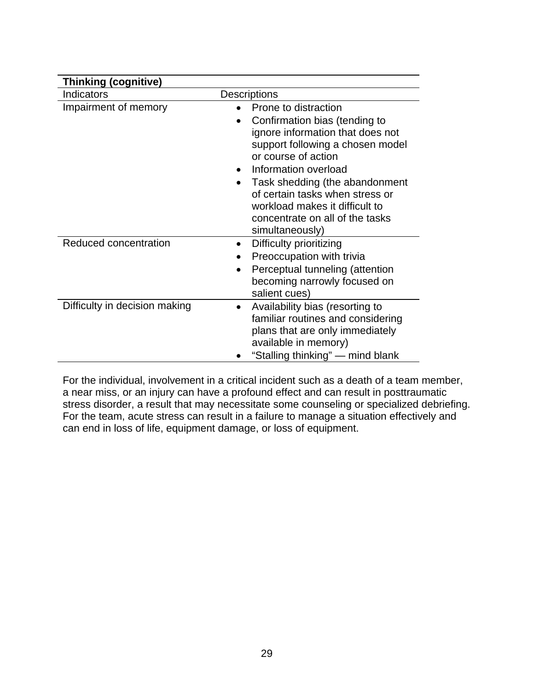| <b>Thinking (cognitive)</b>   |                                                                                                                                                                                                                                                                                                                                                        |  |  |  |
|-------------------------------|--------------------------------------------------------------------------------------------------------------------------------------------------------------------------------------------------------------------------------------------------------------------------------------------------------------------------------------------------------|--|--|--|
| Indicators                    | Descriptions                                                                                                                                                                                                                                                                                                                                           |  |  |  |
| Impairment of memory          | Prone to distraction<br>Confirmation bias (tending to<br>ignore information that does not<br>support following a chosen model<br>or course of action<br>Information overload<br>Task shedding (the abandonment<br>$\bullet$<br>of certain tasks when stress or<br>workload makes it difficult to<br>concentrate on all of the tasks<br>simultaneously) |  |  |  |
| Reduced concentration         | Difficulty prioritizing<br>٠<br>Preoccupation with trivia<br>Perceptual tunneling (attention<br>$\bullet$<br>becoming narrowly focused on<br>salient cues)                                                                                                                                                                                             |  |  |  |
| Difficulty in decision making | Availability bias (resorting to<br>familiar routines and considering<br>plans that are only immediately<br>available in memory)<br>"Stalling thinking" — mind blank                                                                                                                                                                                    |  |  |  |

For the individual, involvement in a critical incident such as a death of a team member, a near miss, or an injury can have a profound effect and can result in posttraumatic stress disorder, a result that may necessitate some counseling or specialized debriefing. For the team, acute stress can result in a failure to manage a situation effectively and can end in loss of life, equipment damage, or loss of equipment.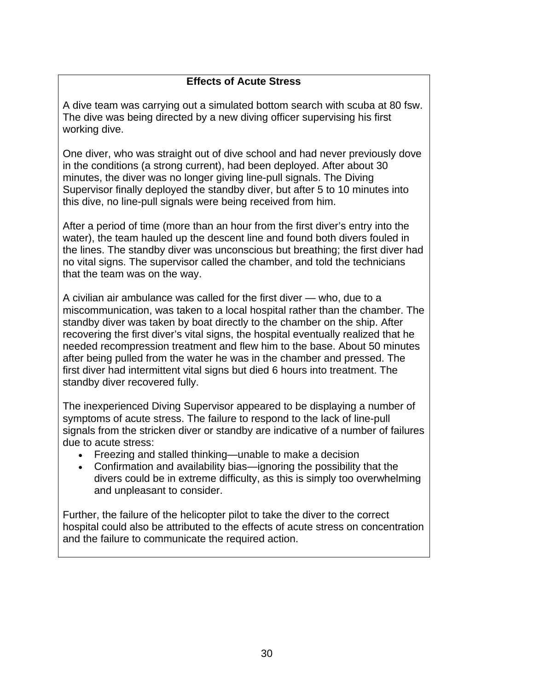## **Effects of Acute Stress**

A dive team was carrying out a simulated bottom search with scuba at 80 fsw. The dive was being directed by a new diving officer supervising his first working dive.

One diver, who was straight out of dive school and had never previously dove in the conditions (a strong current), had been deployed. After about 30 minutes, the diver was no longer giving line-pull signals. The Diving Supervisor finally deployed the standby diver, but after 5 to 10 minutes into this dive, no line-pull signals were being received from him.

After a period of time (more than an hour from the first diver's entry into the water), the team hauled up the descent line and found both divers fouled in the lines. The standby diver was unconscious but breathing; the first diver had no vital signs. The supervisor called the chamber, and told the technicians that the team was on the way.

A civilian air ambulance was called for the first diver — who, due to a miscommunication, was taken to a local hospital rather than the chamber. The standby diver was taken by boat directly to the chamber on the ship. After recovering the first diver's vital signs, the hospital eventually realized that he needed recompression treatment and flew him to the base. About 50 minutes after being pulled from the water he was in the chamber and pressed. The first diver had intermittent vital signs but died 6 hours into treatment. The standby diver recovered fully.

The inexperienced Diving Supervisor appeared to be displaying a number of symptoms of acute stress. The failure to respond to the lack of line-pull signals from the stricken diver or standby are indicative of a number of failures due to acute stress:

- Freezing and stalled thinking—unable to make a decision
- Confirmation and availability bias—ignoring the possibility that the divers could be in extreme difficulty, as this is simply too overwhelming and unpleasant to consider.

Further, the failure of the helicopter pilot to take the diver to the correct hospital could also be attributed to the effects of acute stress on concentration and the failure to communicate the required action.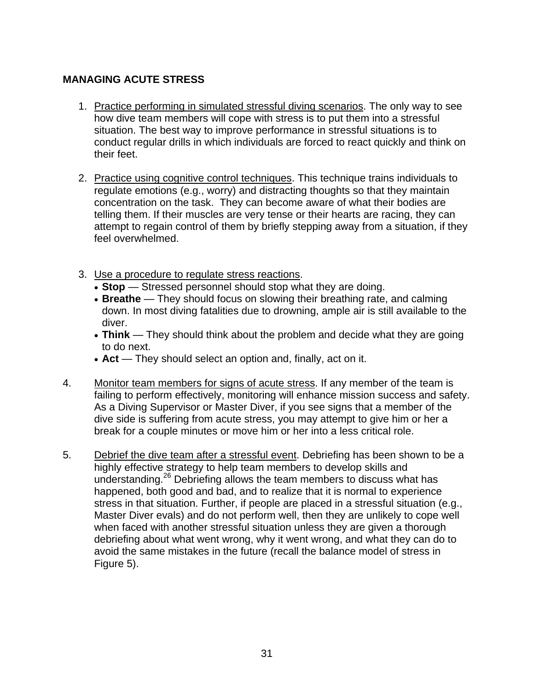## **MANAGING ACUTE STRESS**

- 1. Practice performing in simulated stressful diving scenarios. The only way to see how dive team members will cope with stress is to put them into a stressful situation. The best way to improve performance in stressful situations is to conduct regular drills in which individuals are forced to react quickly and think on their feet.
- 2. Practice using cognitive control techniques. This technique trains individuals to regulate emotions (e.g., worry) and distracting thoughts so that they maintain concentration on the task. They can become aware of what their bodies are telling them. If their muscles are very tense or their hearts are racing, they can attempt to regain control of them by briefly stepping away from a situation, if they feel overwhelmed.
- 3. Use a procedure to regulate stress reactions.
	- **Stop** Stressed personnel should stop what they are doing.
	- **Breathe** They should focus on slowing their breathing rate, and calming down. In most diving fatalities due to drowning, ample air is still available to the diver.
	- **Think** They should think about the problem and decide what they are going to do next.
	- **Act** They should select an option and, finally, act on it.
- 4. Monitor team members for signs of acute stress. If any member of the team is failing to perform effectively, monitoring will enhance mission success and safety. As a Diving Supervisor or Master Diver, if you see signs that a member of the dive side is suffering from acute stress, you may attempt to give him or her a break for a couple minutes or move him or her into a less critical role.
- 5. Debrief the dive team after a stressful event. Debriefing has been shown to be a highly effective strategy to help team members to develop skills and understanding.26 Debriefing allows the team members to discuss what has happened, both good and bad, and to realize that it is normal to experience stress in that situation. Further, if people are placed in a stressful situation (e.g., Master Diver evals) and do not perform well, then they are unlikely to cope well when faced with another stressful situation unless they are given a thorough debriefing about what went wrong, why it went wrong, and what they can do to avoid the same mistakes in the future (recall the balance model of stress in Figure 5).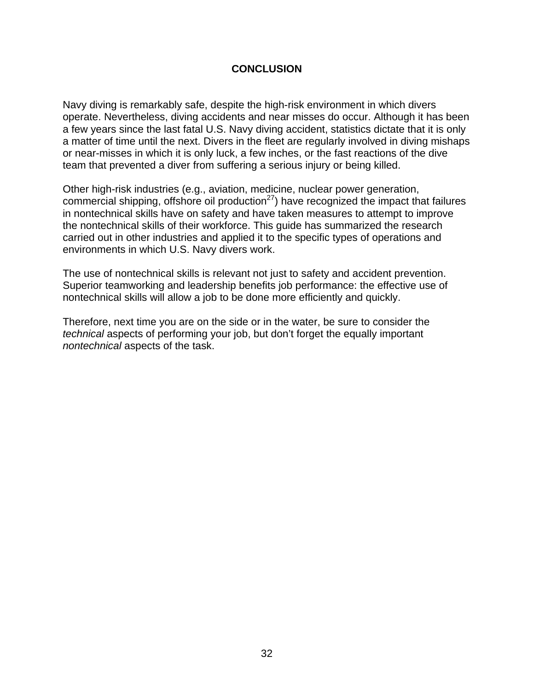## **CONCLUSION**

Navy diving is remarkably safe, despite the high-risk environment in which divers operate. Nevertheless, diving accidents and near misses do occur. Although it has been a few years since the last fatal U.S. Navy diving accident, statistics dictate that it is only a matter of time until the next. Divers in the fleet are regularly involved in diving mishaps or near-misses in which it is only luck, a few inches, or the fast reactions of the dive team that prevented a diver from suffering a serious injury or being killed.

Other high-risk industries (e.g., aviation, medicine, nuclear power generation, commercial shipping, offshore oil production<sup>27</sup>) have recognized the impact that failures in nontechnical skills have on safety and have taken measures to attempt to improve the nontechnical skills of their workforce. This guide has summarized the research carried out in other industries and applied it to the specific types of operations and environments in which U.S. Navy divers work.

The use of nontechnical skills is relevant not just to safety and accident prevention. Superior teamworking and leadership benefits job performance: the effective use of nontechnical skills will allow a job to be done more efficiently and quickly.

Therefore, next time you are on the side or in the water, be sure to consider the *technical* aspects of performing your job, but don't forget the equally important *nontechnical* aspects of the task.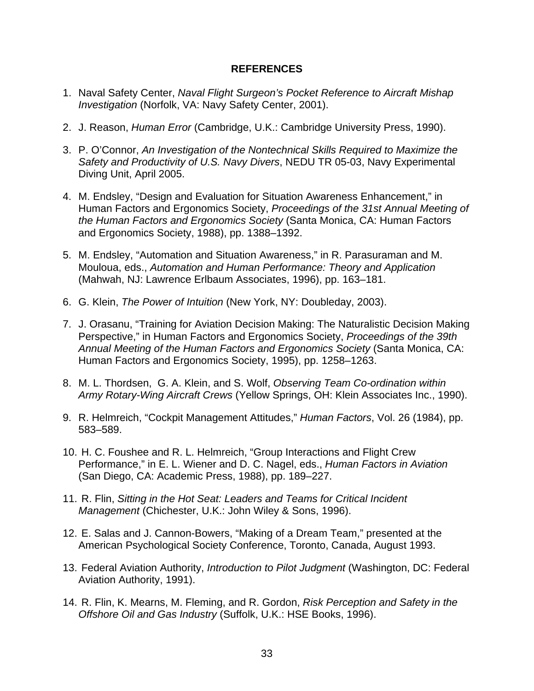#### **REFERENCES**

- 1. Naval Safety Center, *Naval Flight Surgeon's Pocket Reference to Aircraft Mishap Investigation* (Norfolk, VA: Navy Safety Center, 2001).
- 2. J. Reason, *Human Error* (Cambridge, U.K.: Cambridge University Press, 1990).
- 3. P. O'Connor, *An Investigation of the Nontechnical Skills Required to Maximize the Safety and Productivity of U.S. Navy Divers*, NEDU TR 05-03, Navy Experimental Diving Unit, April 2005.
- 4. M. Endsley, "Design and Evaluation for Situation Awareness Enhancement," in Human Factors and Ergonomics Society, *Proceedings of the 31st Annual Meeting of the Human Factors and Ergonomics Society* (Santa Monica, CA: Human Factors and Ergonomics Society, 1988), pp. 1388–1392.
- 5. M. Endsley, "Automation and Situation Awareness," in R. Parasuraman and M. Mouloua, eds., *Automation and Human Performance: Theory and Application* (Mahwah, NJ: Lawrence Erlbaum Associates, 1996), pp. 163–181.
- 6. G. Klein, *The Power of Intuition* (New York, NY: Doubleday, 2003).
- 7. J. Orasanu, "Training for Aviation Decision Making: The Naturalistic Decision Making Perspective," in Human Factors and Ergonomics Society, *Proceedings of the 39th Annual Meeting of the Human Factors and Ergonomics Society* (Santa Monica, CA: Human Factors and Ergonomics Society, 1995), pp. 1258–1263.
- 8. M. L. Thordsen, G. A. Klein, and S. Wolf, *Observing Team Co-ordination within Army Rotary-Wing Aircraft Crews* (Yellow Springs, OH: Klein Associates Inc., 1990).
- 9. R. Helmreich, "Cockpit Management Attitudes," *Human Factors*, Vol. 26 (1984), pp. 583–589.
- 10. H. C. Foushee and R. L. Helmreich, "Group Interactions and Flight Crew Performance," in E. L. Wiener and D. C. Nagel, eds., *Human Factors in Aviation* (San Diego, CA: Academic Press, 1988), pp. 189–227.
- 11. R. Flin, *Sitting in the Hot Seat: Leaders and Teams for Critical Incident Management* (Chichester, U.K.: John Wiley & Sons, 1996).
- 12. E. Salas and J. Cannon-Bowers, "Making of a Dream Team," presented at the American Psychological Society Conference, Toronto, Canada, August 1993.
- 13. Federal Aviation Authority, *Introduction to Pilot Judgment* (Washington, DC: Federal Aviation Authority, 1991).
- 14. R. Flin, K. Mearns, M. Fleming, and R. Gordon, *Risk Perception and Safety in the Offshore Oil and Gas Industry* (Suffolk, U.K.: HSE Books, 1996).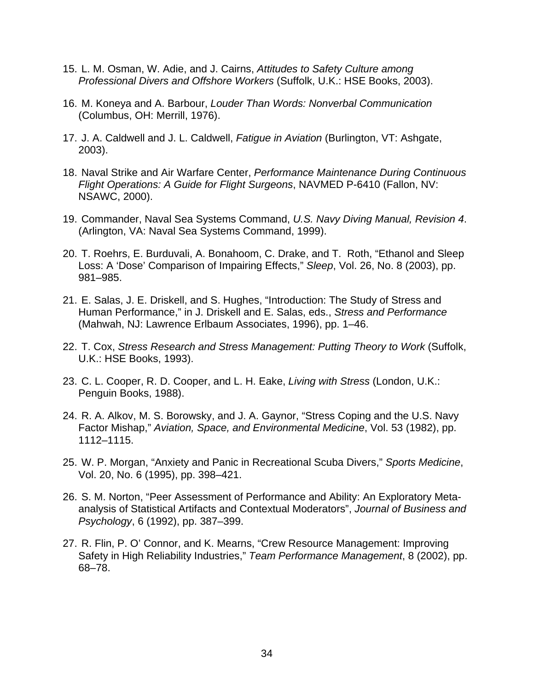- 15. L. M. Osman, W. Adie, and J. Cairns, *Attitudes to Safety Culture among Professional Divers and Offshore Workers* (Suffolk, U.K.: HSE Books, 2003).
- 16. M. Koneya and A. Barbour, *Louder Than Words: Nonverbal Communication* (Columbus, OH: Merrill, 1976).
- 17. J. A. Caldwell and J. L. Caldwell, *Fatigue in Aviation* (Burlington, VT: Ashgate, 2003).
- 18. Naval Strike and Air Warfare Center, *Performance Maintenance During Continuous Flight Operations: A Guide for Flight Surgeons*, NAVMED P-6410 (Fallon, NV: NSAWC, 2000).
- 19. Commander, Naval Sea Systems Command, *U.S. Navy Diving Manual, Revision 4*. (Arlington, VA: Naval Sea Systems Command, 1999).
- 20. T. Roehrs, E. Burduvali, A. Bonahoom, C. Drake, and T. Roth, "Ethanol and Sleep Loss: A 'Dose' Comparison of Impairing Effects," *Sleep*, Vol. 26, No. 8 (2003), pp. 981–985.
- 21. E. Salas, J. E. Driskell, and S. Hughes, "Introduction: The Study of Stress and Human Performance," in J. Driskell and E. Salas, eds., *Stress and Performance* (Mahwah, NJ: Lawrence Erlbaum Associates, 1996), pp. 1–46.
- 22. T. Cox, *Stress Research and Stress Management: Putting Theory to Work* (Suffolk, U.K.: HSE Books, 1993).
- 23. C. L. Cooper, R. D. Cooper, and L. H. Eake, *Living with Stress* (London, U.K.: Penguin Books, 1988).
- 24. R. A. Alkov, M. S. Borowsky, and J. A. Gaynor, "Stress Coping and the U.S. Navy Factor Mishap," *Aviation, Space, and Environmental Medicine*, Vol. 53 (1982), pp. 1112–1115.
- 25. W. P. Morgan, "Anxiety and Panic in Recreational Scuba Divers," *Sports Medicine*, Vol. 20, No. 6 (1995), pp. 398–421.
- 26. S. M. Norton, "Peer Assessment of Performance and Ability: An Exploratory Metaanalysis of Statistical Artifacts and Contextual Moderators", *Journal of Business and Psychology*, 6 (1992), pp. 387–399.
- 27. R. Flin, P. O' Connor, and K. Mearns, "Crew Resource Management: Improving Safety in High Reliability Industries," *Team Performance Management*, 8 (2002), pp. 68–78.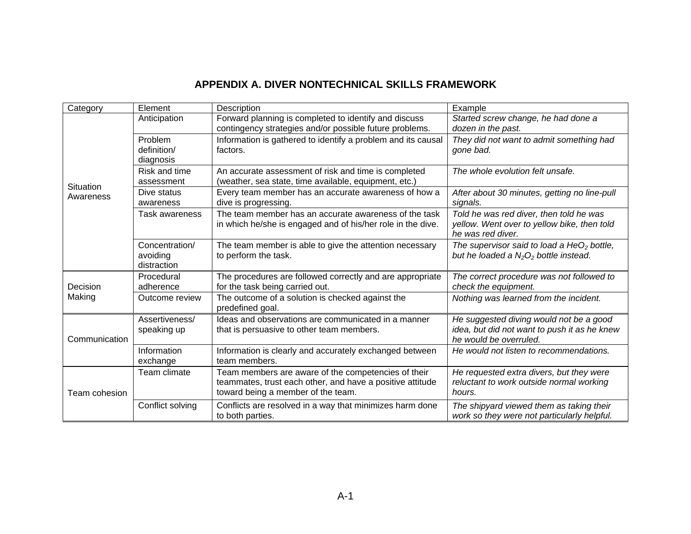## **APPENDIX A. DIVER NONTECHNICAL SKILLS FRAMEWORK**

| Category               | Element                                   | Description                                                                                                                                            | Example                                                                                                           |
|------------------------|-------------------------------------------|--------------------------------------------------------------------------------------------------------------------------------------------------------|-------------------------------------------------------------------------------------------------------------------|
|                        | Anticipation                              | Forward planning is completed to identify and discuss<br>contingency strategies and/or possible future problems.                                       | Started screw change, he had done a<br>dozen in the past.                                                         |
|                        | Problem<br>definition/<br>diagnosis       | Information is gathered to identify a problem and its causal<br>factors.                                                                               | They did not want to admit something had<br>gone bad.                                                             |
|                        | Risk and time<br>assessment               | An accurate assessment of risk and time is completed<br>(weather, sea state, time available, equipment, etc.)                                          | The whole evolution felt unsafe.                                                                                  |
| Situation<br>Awareness | Dive status<br>awareness                  | Every team member has an accurate awareness of how a<br>dive is progressing.                                                                           | After about 30 minutes, getting no line-pull<br>signals.                                                          |
|                        | Task awareness                            | The team member has an accurate awareness of the task<br>in which he/she is engaged and of his/her role in the dive.                                   | Told he was red diver, then told he was<br>yellow. Went over to yellow bike, then told<br>he was red diver.       |
|                        | Concentration/<br>avoiding<br>distraction | The team member is able to give the attention necessary<br>to perform the task.                                                                        | The supervisor said to load a $HeO2$ bottle,<br>but he loaded a $N_2O_2$ bottle instead.                          |
| Decision               | Procedural<br>adherence                   | The procedures are followed correctly and are appropriate<br>for the task being carried out.                                                           | The correct procedure was not followed to<br>check the equipment.                                                 |
| Making                 | Outcome review                            | The outcome of a solution is checked against the<br>predefined goal.                                                                                   | Nothing was learned from the incident.                                                                            |
| Communication          | Assertiveness/<br>speaking up             | Ideas and observations are communicated in a manner<br>that is persuasive to other team members.                                                       | He suggested diving would not be a good<br>idea, but did not want to push it as he knew<br>he would be overruled. |
|                        | Information<br>exchange                   | Information is clearly and accurately exchanged between<br>team members.                                                                               | He would not listen to recommendations.                                                                           |
| Team cohesion          | Team climate                              | Team members are aware of the competencies of their<br>teammates, trust each other, and have a positive attitude<br>toward being a member of the team. | He requested extra divers, but they were<br>reluctant to work outside normal working<br>hours.                    |
|                        | Conflict solving                          | Conflicts are resolved in a way that minimizes harm done<br>to both parties.                                                                           | The shipyard viewed them as taking their<br>work so they were not particularly helpful.                           |